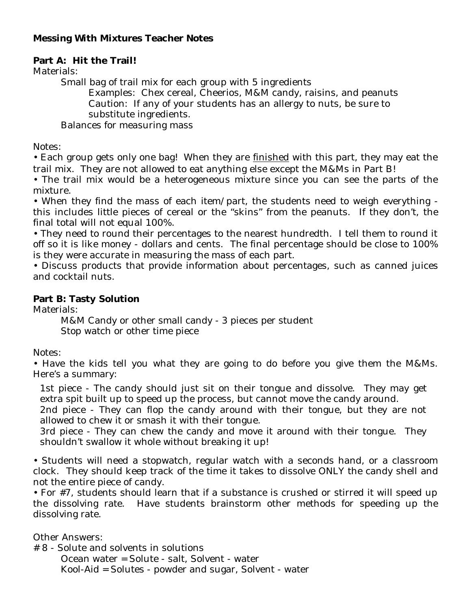# **Messing With Mixtures Teacher Notes**

### **Part A: Hit the Trail!**

Materials:

Small bag of trail mix for each group with 5 ingredients

Examples: Chex cereal, Cheerios, M&M candy, raisins, and peanuts Caution: If any of your students has an allergy to nuts, be sure to substitute ingredients.

Balances for measuring mass

Notes:

• Each group gets only one bag! When they are <u>finished</u> with this part, they may eat the trail mix. They are not allowed to eat anything else except the M&Ms in Part B!

• The trail mix would be a heterogeneous mixture since you can see the parts of the mixture.

• When they find the mass of each item/part, the students need to weigh everything this includes little pieces of cereal or the "skins" from the peanuts. If they don't, the final total will not equal 100%.

• They need to round their percentages to the nearest hundredth. I tell them to round it off so it is like money - dollars and cents. The final percentage should be close to 100% is they were accurate in measuring the mass of each part.

• Discuss products that provide information about percentages, such as canned juices and cocktail nuts.

### **Part B: Tasty Solution**

Materials:

M&M Candy or other small candy - 3 pieces per student Stop watch or other time piece

Notes:

• Have the kids tell you what they are going to do before you give them the M&Ms. Here's a summary:

1st piece - The candy should just sit on their tongue and dissolve. They may get extra spit built up to speed up the process, but cannot move the candy around.

2nd piece - They can flop the candy around with their tongue, but they are not allowed to chew it or smash it with their tongue.

3rd piece - They can chew the candy and move it around with their tongue. They shouldn't swallow it whole without breaking it up!

• Students will need a stopwatch, regular watch with a seconds hand, or a classroom clock. They should keep track of the time it takes to dissolve ONLY the candy shell and not the entire piece of candy.

• For #7, students should learn that if a substance is crushed or stirred it will speed up the dissolving rate. Have students brainstorm other methods for speeding up the dissolving rate.

Other Answers:

# 8 - Solute and solvents in solutions

Ocean water = Solute - salt, Solvent - water Kool-Aid = Solutes - powder and sugar, Solvent - water